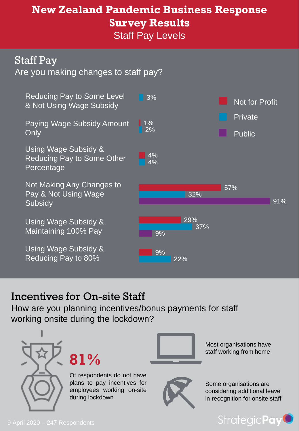# **New Zealand Pandemic Business Response Survey Results**

Staff Pay Levels

#### Staff Pay

Are you making changes to staff pay?



#### Incentives for On-site Staff

How are you planning incentives/bonus payments for staff working onsite during the lockdown?





Of respondents do not have plans to pay incentives for employees working on-site during lockdown



Most organisations have staff working from home



Some organisations are considering additional leave in recognition for onsite staff